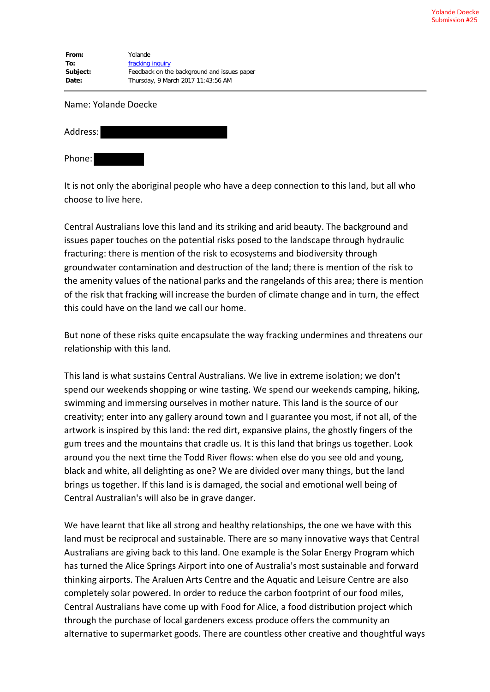**From:** Yolande **To:** fracking inquiry **Subject:** Feedback on the background and issues paper **Date:** Thursday, 9 March 2017 11:43:56 AM

## Name: Yolande Doecke

| Address: |  |  |
|----------|--|--|
| Phone:   |  |  |

It is not only the aboriginal people who have a deep connection to this land, but all who choose to live here.

Central Australians love this land and its striking and arid beauty. The background and issues paper touches on the potential risks posed to the landscape through hydraulic fracturing: there is mention of the risk to ecosystems and biodiversity through groundwater contamination and destruction of the land; there is mention of the risk to the amenity values of the national parks and the rangelands of this area; there is mention of the risk that fracking will increase the burden of climate change and in turn, the effect this could have on the land we call our home.

But none of these risks quite encapsulate the way fracking undermines and threatens our relationship with this land.

This land is what sustains Central Australians. We live in extreme isolation; we don't spend our weekends shopping or wine tasting. We spend our weekends camping, hiking, swimming and immersing ourselves in mother nature. This land is the source of our creativity; enter into any gallery around town and I guarantee you most, if not all, of the artwork is inspired by this land: the red dirt, expansive plains, the ghostly fingers of the gum trees and the mountains that cradle us. It is this land that brings us together. Look around you the next time the Todd River flows: when else do you see old and young, black and white, all delighting as one? We are divided over many things, but the land brings us together. If this land is is damaged, the social and emotional well being of Central Australian's will also be in grave danger.

We have learnt that like all strong and healthy relationships, the one we have with this land must be reciprocal and sustainable. There are so many innovative ways that Central Australians are giving back to this land. One example is the Solar Energy Program which has turned the Alice Springs Airport into one of Australia's most sustainable and forward thinking airports. The Araluen Arts Centre and the Aquatic and Leisure Centre are also completely solar powered. In order to reduce the carbon footprint of our food miles, Central Australians have come up with Food for Alice, a food distribution project which through the purchase of local gardeners excess produce offers the community an alternative to supermarket goods. There are countless other creative and thoughtful ways